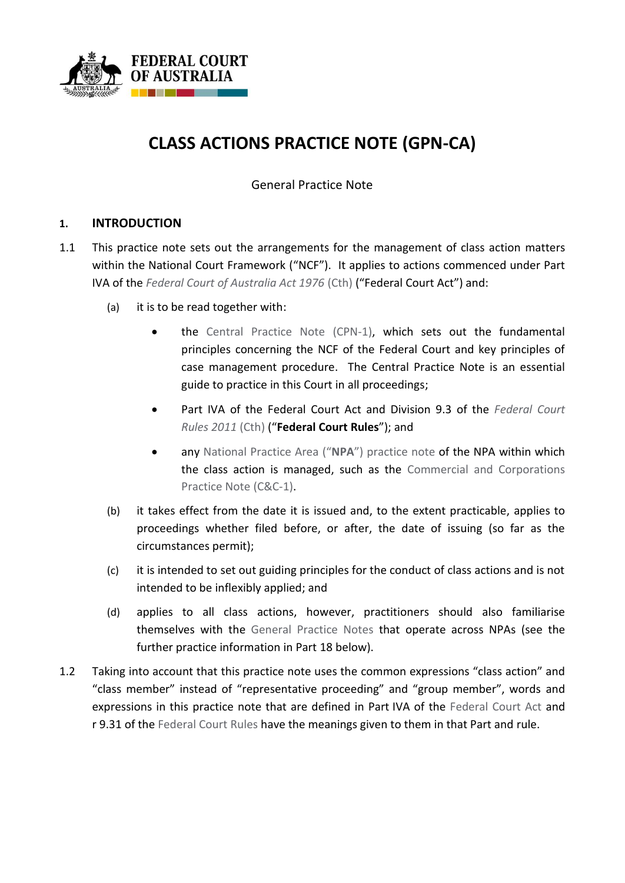

# **CLASS ACTIONS PRACTICE NOTE (GPN-CA)**

General Practice Note

# **1. INTRODUCTION**

- 1.1 This practice note sets out the arrangements for the management of class action matters within the National Court Framework ("NCF"). It applies to actions commenced under Part IVA of the *[Federal Court of Australia Act 1976](https://www.legislation.gov.au/Series/C2004A01586)* (Cth) ("Federal Court Act") and:
	- (a) it is to be read together with:
		- the [Central Practice Note \(CPN-1\),](http://www.fedcourt.gov.au/law-and-practice/practice-documents/practice-notes/cpn-1) which sets out the fundamental principles concerning the NCF of the Federal Court and key principles of case management procedure. The Central Practice Note is an essential guide to practice in this Court in all proceedings;
		- Part IVA of the Federal Court Act and Division 9.3 of the *[Federal Court](https://www.legislation.gov.au/Series/F2011L01551)  [Rules 2011](https://www.legislation.gov.au/Series/F2011L01551)* (Cth) ("**Federal Court Rules**"); and
		- any [National Practice Area \(](http://www.fedcourt.gov.au/law-and-practice/practice-documents/practice-notes/cpn-1)"**NPA**") practice note of the NPA within which the class action is managed, such as the [Commercial and Corporations](http://www.fedcourt.gov.au/law-and-practice/practice-documents/practice-notes/c-and-c-1)  [Practice Note](http://www.fedcourt.gov.au/law-and-practice/practice-documents/practice-notes/c-and-c-1) (C&C-1).
	- (b) it takes effect from the date it is issued and, to the extent practicable, applies to proceedings whether filed before, or after, the date of issuing (so far as the circumstances permit);
	- (c) it is intended to set out guiding principles for the conduct of class actions and is not intended to be inflexibly applied; and
	- (d) applies to all class actions, however, practitioners should also familiarise themselves with the [General Practice Notes](http://www.fedcourt.gov.au/law-and-practice/practice-documents/practice-notes#GPN) that operate across NPAs (see the further practice information in Part 18 below).
- 1.2 Taking into account that this practice note uses the common expressions "class action" and "class member" instead of "representative proceeding" and "group member", words and expressions in this practice note that are defined in Part IVA of the [Federal Court Act](https://www.legislation.gov.au/Series/C2004A01586) and r 9.31 of the [Federal Court Rules](https://www.legislation.gov.au/Series/F2011L01551) have the meanings given to them in that Part and rule.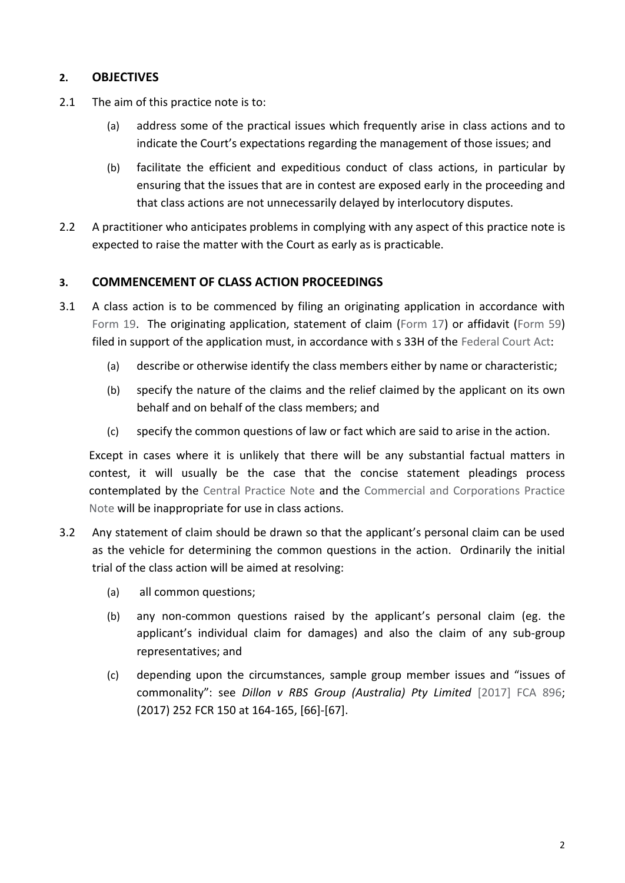# **2. OBJECTIVES**

- 2.1 The aim of this practice note is to:
	- (a) address some of the practical issues which frequently arise in class actions and to indicate the Court's expectations regarding the management of those issues; and
	- (b) facilitate the efficient and expeditious conduct of class actions, in particular by ensuring that the issues that are in contest are exposed early in the proceeding and that class actions are not unnecessarily delayed by interlocutory disputes.
- 2.2 A practitioner who anticipates problems in complying with any aspect of this practice note is expected to raise the matter with the Court as early as is practicable.

# **3. COMMENCEMENT OF CLASS ACTION PROCEEDINGS**

- 3.1 A class action is to be commenced by filing an originating application in accordance with [Form 19.](http://www.fedcourt.gov.au/law-and-practice/practice-documents/practice-notes/?a=11334#form19) The originating application, statement of claim [\(Form 17\)](http://www.fedcourt.gov.au/forms-and-fees/forms/federal-court-rules#form17) or affidavit [\(Form 59\)](http://www.fedcourt.gov.au/forms-and-fees/forms/federal-court-rules#form59) filed in support of the application must, in accordance with s 33H of the [Federal Court Act:](https://www.legislation.gov.au/Series/C2004A01586)
	- (a) describe or otherwise identify the class members either by name or characteristic;
	- (b) specify the nature of the claims and the relief claimed by the applicant on its own behalf and on behalf of the class members; and
	- (c) specify the common questions of law or fact which are said to arise in the action.

Except in cases where it is unlikely that there will be any substantial factual matters in contest, it will usually be the case that the concise statement pleadings process contemplated by the [Central Practice Note](http://www.fedcourt.gov.au/law-and-practice/practice-documents/practice-notes/cpn-1) and the [Commercial and Corporations Practice](http://www.fedcourt.gov.au/law-and-practice/practice-documents/practice-notes/c-and-c-1)  [Note](http://www.fedcourt.gov.au/law-and-practice/practice-documents/practice-notes/c-and-c-1) will be inappropriate for use in class actions.

- 3.2 Any statement of claim should be drawn so that the applicant's personal claim can be used as the vehicle for determining the common questions in the action. Ordinarily the initial trial of the class action will be aimed at resolving:
	- (a) all common questions;
	- (b) any non-common questions raised by the applicant's personal claim (eg. the applicant's individual claim for damages) and also the claim of any sub-group representatives; and
	- (c) depending upon the circumstances, sample group member issues and "issues of commonality": see *Dillon v RBS Group (Australia) Pty Limited* [\[2017\] FCA 896;](https://www.judgments.fedcourt.gov.au/judgments/Judgments/fca/single/2017/2017fca0896) (2017) 252 FCR 150 at 164-165, [66]-[67].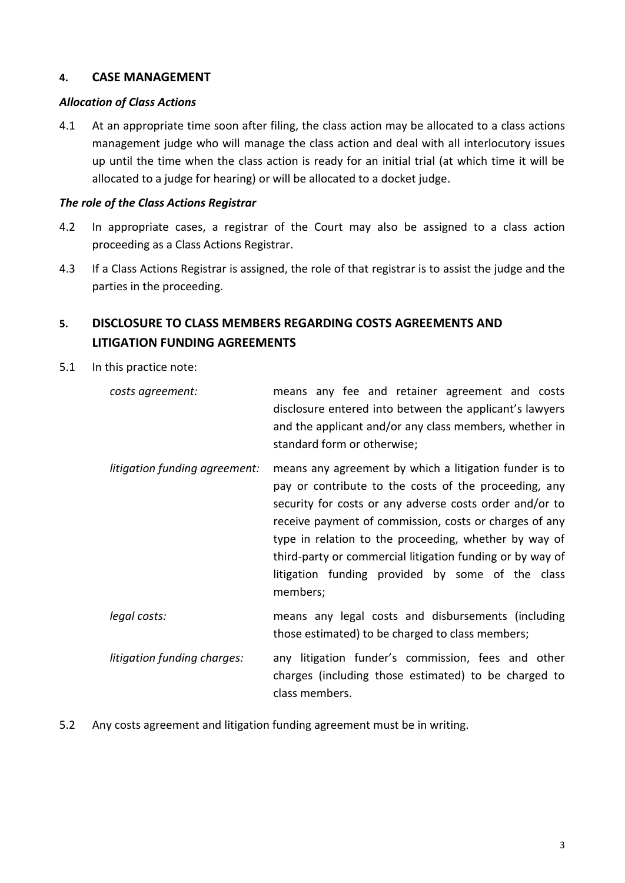#### **4. CASE MANAGEMENT**

#### *Allocation of Class Actions*

4.1 At an appropriate time soon after filing, the class action may be allocated to a class actions management judge who will manage the class action and deal with all interlocutory issues up until the time when the class action is ready for an initial trial (at which time it will be allocated to a judge for hearing) or will be allocated to a docket judge.

#### *The role of the Class Actions Registrar*

- 4.2 In appropriate cases, a registrar of the Court may also be assigned to a class action proceeding as a Class Actions Registrar.
- 4.3 If a Class Actions Registrar is assigned, the role of that registrar is to assist the judge and the parties in the proceeding.

# **5. DISCLOSURE TO CLASS MEMBERS REGARDING COSTS AGREEMENTS AND LITIGATION FUNDING AGREEMENTS**

5.1 In this practice note:

| costs agreement:              | means any fee and retainer agreement and costs<br>disclosure entered into between the applicant's lawyers<br>and the applicant and/or any class members, whether in<br>standard form or otherwise;                                                                                                                                                                                                                         |
|-------------------------------|----------------------------------------------------------------------------------------------------------------------------------------------------------------------------------------------------------------------------------------------------------------------------------------------------------------------------------------------------------------------------------------------------------------------------|
| litigation funding agreement: | means any agreement by which a litigation funder is to<br>pay or contribute to the costs of the proceeding, any<br>security for costs or any adverse costs order and/or to<br>receive payment of commission, costs or charges of any<br>type in relation to the proceeding, whether by way of<br>third-party or commercial litigation funding or by way of<br>litigation funding provided by some of the class<br>members; |
| legal costs:                  | means any legal costs and disbursements (including<br>those estimated) to be charged to class members;                                                                                                                                                                                                                                                                                                                     |
| litigation funding charges:   | any litigation funder's commission, fees and other<br>charges (including those estimated) to be charged to                                                                                                                                                                                                                                                                                                                 |

class members.

5.2 Any costs agreement and litigation funding agreement must be in writing.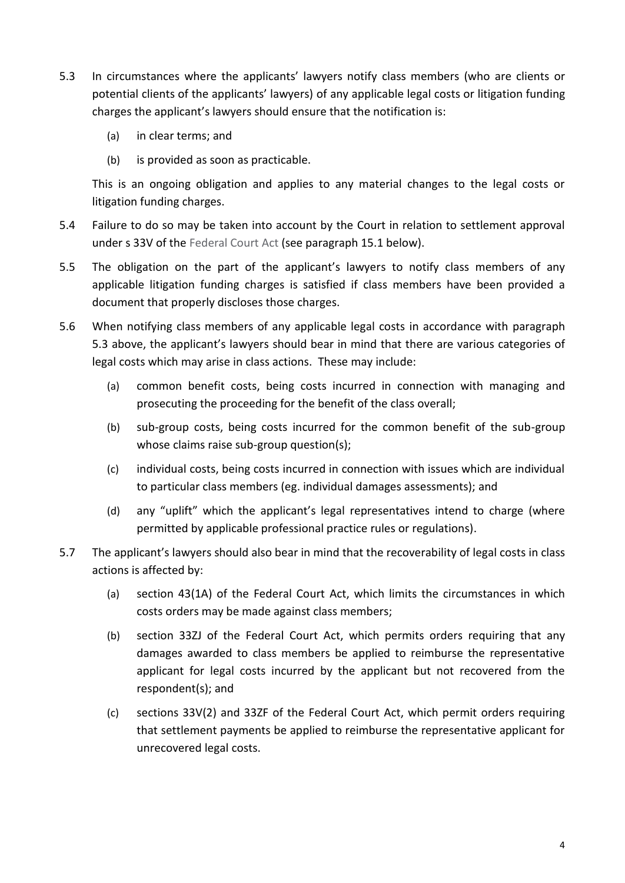- 5.3 In circumstances where the applicants' lawyers notify class members (who are clients or potential clients of the applicants' lawyers) of any applicable legal costs or litigation funding charges the applicant's lawyers should ensure that the notification is:
	- (a) in clear terms; and
	- (b) is provided as soon as practicable.

This is an ongoing obligation and applies to any material changes to the legal costs or litigation funding charges.

- 5.4 Failure to do so may be taken into account by the Court in relation to settlement approval under s 33V of the [Federal Court Act](https://www.legislation.gov.au/Series/C2004A01586) (see paragraph 15.1 below).
- 5.5 The obligation on the part of the applicant's lawyers to notify class members of any applicable litigation funding charges is satisfied if class members have been provided a document that properly discloses those charges.
- 5.6 When notifying class members of any applicable legal costs in accordance with paragraph 5.3 above, the applicant's lawyers should bear in mind that there are various categories of legal costs which may arise in class actions. These may include:
	- (a) common benefit costs, being costs incurred in connection with managing and prosecuting the proceeding for the benefit of the class overall;
	- (b) sub-group costs, being costs incurred for the common benefit of the sub-group whose claims raise sub-group question(s);
	- (c) individual costs, being costs incurred in connection with issues which are individual to particular class members (eg. individual damages assessments); and
	- (d) any "uplift" which the applicant's legal representatives intend to charge (where permitted by applicable professional practice rules or regulations).
- 5.7 The applicant's lawyers should also bear in mind that the recoverability of legal costs in class actions is affected by:
	- (a) section 43(1A) of the Federal Court Act, which limits the circumstances in which costs orders may be made against class members;
	- (b) section 33ZJ of the Federal Court Act, which permits orders requiring that any damages awarded to class members be applied to reimburse the representative applicant for legal costs incurred by the applicant but not recovered from the respondent(s); and
	- (c) sections 33V(2) and 33ZF of the Federal Court Act, which permit orders requiring that settlement payments be applied to reimburse the representative applicant for unrecovered legal costs.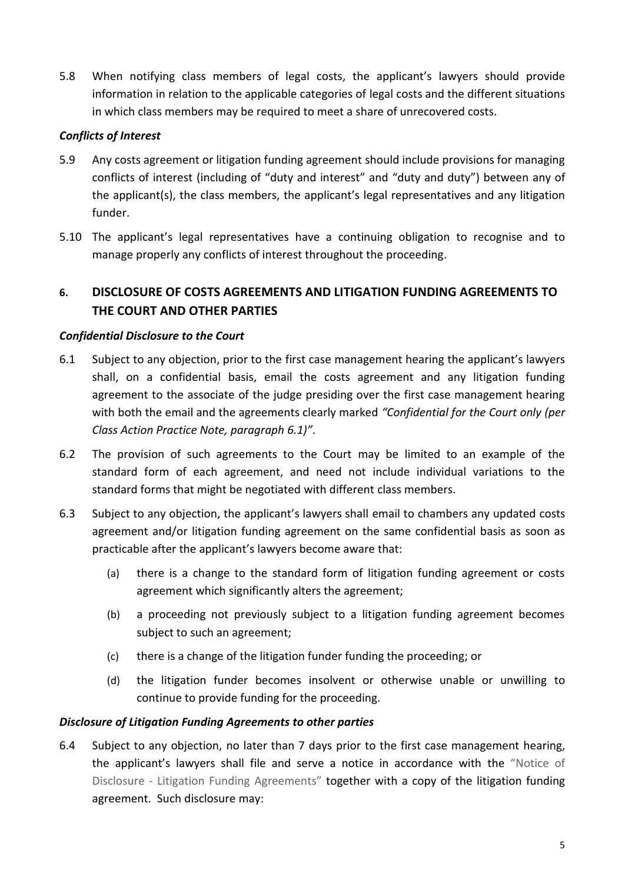5.8 When notifying class members of legal costs, the applicant's lawyers should provide information in relation to the applicable categories of legal costs and the different situations in which class members may be required to meet a share of unrecovered costs.

## *Conflicts of Interest*

- 5.9 Any costs agreement or litigation funding agreement should include provisions for managing conflicts of interest (including of "duty and interest" and "duty and duty") between any of the applicant(s), the class members, the applicant's legal representatives and any litigation funder.
- 5.10 The applicant's legal representatives have a continuing obligation to recognise and to manage properly any conflicts of interest throughout the proceeding.

# **6. DISCLOSURE OF COSTS AGREEMENTS AND LITIGATION FUNDING AGREEMENTS TO THE COURT AND OTHER PARTIES**

#### *Confidential Disclosure to the Court*

- 6.1 Subject to any objection, prior to the first case management hearing the applicant's lawyers shall, on a confidential basis, email the costs agreement and any litigation funding agreement to the associate of the judge presiding over the first case management hearing with both the email and the agreements clearly marked *"Confidential for the Court only (per Class Action Practice Note, paragraph 6.1)"*.
- 6.2 The provision of such agreements to the Court may be limited to an example of the standard form of each agreement, and need not include individual variations to the standard forms that might be negotiated with different class members.
- 6.3 Subject to any objection, the applicant's lawyers shall email to chambers any updated costs agreement and/or litigation funding agreement on the same confidential basis as soon as practicable after the applicant's lawyers become aware that:
	- (a) there is a change to the standard form of litigation funding agreement or costs agreement which significantly alters the agreement;
	- (b) a proceeding not previously subject to a litigation funding agreement becomes subject to such an agreement;
	- (c) there is a change of the litigation funder funding the proceeding; or
	- (d) the litigation funder becomes insolvent or otherwise unable or unwilling to continue to provide funding for the proceeding.

#### *Disclosure of Litigation Funding Agreements to other parties*

6.4 Subject to any objection, no later than 7 days prior to the first case management hearing, the applicant's lawyers shall file and serve a notice in accordance with the "[Notice of](http://www.fedcourt.gov.au/forms-and-fees/forms/ncf#ncf3)  Disclosure - [Litigation Funding](http://www.fedcourt.gov.au/forms-and-fees/forms/ncf#ncf3) Agreements" together with a copy of the litigation funding agreement. Such disclosure may: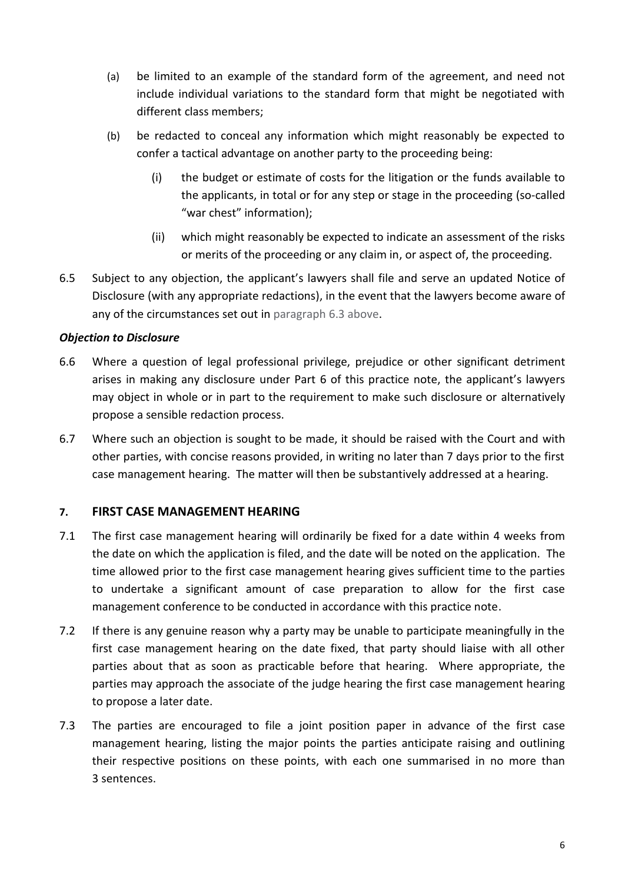- (a) be limited to an example of the standard form of the agreement, and need not include individual variations to the standard form that might be negotiated with different class members;
- (b) be redacted to conceal any information which might reasonably be expected to confer a tactical advantage on another party to the proceeding being:
	- (i) the budget or estimate of costs for the litigation or the funds available to the applicants, in total or for any step or stage in the proceeding (so-called "war chest" information);
	- (ii) which might reasonably be expected to indicate an assessment of the risks or merits of the proceeding or any claim in, or aspect of, the proceeding.
- 6.5 Subject to any objection, the applicant's lawyers shall file and serve an updated Notice of Disclosure (with any appropriate redactions), in the event that the lawyers become aware of any of the circumstances set out in [paragraph 6.3 above.](http://www.fedcourt.gov.au/law-and-practice/practice-documents/practice-notes/gpn-ca#6_3)

# *Objection to Disclosure*

- 6.6 Where a question of legal professional privilege, prejudice or other significant detriment arises in making any disclosure under Part 6 of this practice note, the applicant's lawyers may object in whole or in part to the requirement to make such disclosure or alternatively propose a sensible redaction process.
- 6.7 Where such an objection is sought to be made, it should be raised with the Court and with other parties, with concise reasons provided, in writing no later than 7 days prior to the first case management hearing. The matter will then be substantively addressed at a hearing.

# **7. FIRST CASE MANAGEMENT HEARING**

- 7.1 The first case management hearing will ordinarily be fixed for a date within 4 weeks from the date on which the application is filed, and the date will be noted on the application. The time allowed prior to the first case management hearing gives sufficient time to the parties to undertake a significant amount of case preparation to allow for the first case management conference to be conducted in accordance with this practice note.
- 7.2 If there is any genuine reason why a party may be unable to participate meaningfully in the first case management hearing on the date fixed, that party should liaise with all other parties about that as soon as practicable before that hearing. Where appropriate, the parties may approach the associate of the judge hearing the first case management hearing to propose a later date.
- 7.3 The parties are encouraged to file a joint position paper in advance of the first case management hearing, listing the major points the parties anticipate raising and outlining their respective positions on these points, with each one summarised in no more than 3 sentences.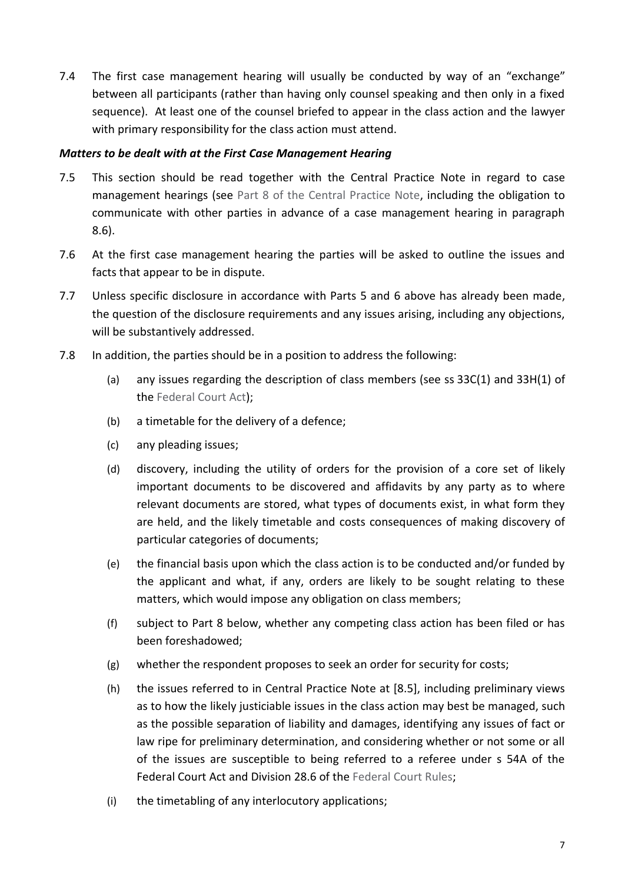7.4 The first case management hearing will usually be conducted by way of an "exchange" between all participants (rather than having only counsel speaking and then only in a fixed sequence). At least one of the counsel briefed to appear in the class action and the lawyer with primary responsibility for the class action must attend.

#### *Matters to be dealt with at the First Case Management Hearing*

- 7.5 This section should be read together with the Central Practice Note in regard to case management hearings (see [Part 8 of the Central Practice Note,](http://www.fedcourt.gov.au/law-and-practice/practice-documents/practice-notes/cpn-1#Part8) including the obligation to communicate with other parties in advance of a case management hearing in paragraph 8.6).
- 7.6 At the first case management hearing the parties will be asked to outline the issues and facts that appear to be in dispute.
- 7.7 Unless specific disclosure in accordance with Parts 5 and 6 above has already been made, the question of the disclosure requirements and any issues arising, including any objections, will be substantively addressed.
- 7.8 In addition, the parties should be in a position to address the following:
	- (a) any issues regarding the description of class members (see ss  $33C(1)$  and  $33H(1)$  of the [Federal Court Act\)](https://www.legislation.gov.au/Series/C2004A01586);
	- (b) a timetable for the delivery of a defence;
	- (c) any pleading issues;
	- (d) discovery, including the utility of orders for the provision of a core set of likely important documents to be discovered and affidavits by any party as to where relevant documents are stored, what types of documents exist, in what form they are held, and the likely timetable and costs consequences of making discovery of particular categories of documents;
	- (e) the financial basis upon which the class action is to be conducted and/or funded by the applicant and what, if any, orders are likely to be sought relating to these matters, which would impose any obligation on class members;
	- (f) subject to Part 8 below, whether any competing class action has been filed or has been foreshadowed;
	- (g) whether the respondent proposes to seek an order for security for costs;
	- (h) the issues referred to in Central Practice Note at [8.5], including preliminary views as to how the likely justiciable issues in the class action may best be managed, such as the possible separation of liability and damages, identifying any issues of fact or law ripe for preliminary determination, and considering whether or not some or all of the issues are susceptible to being referred to a referee under s 54A of the Federal Court Act and Division 28.6 of the [Federal Court Rules;](https://www.legislation.gov.au/Series/F2011L01551)
	- (i) the timetabling of any interlocutory applications;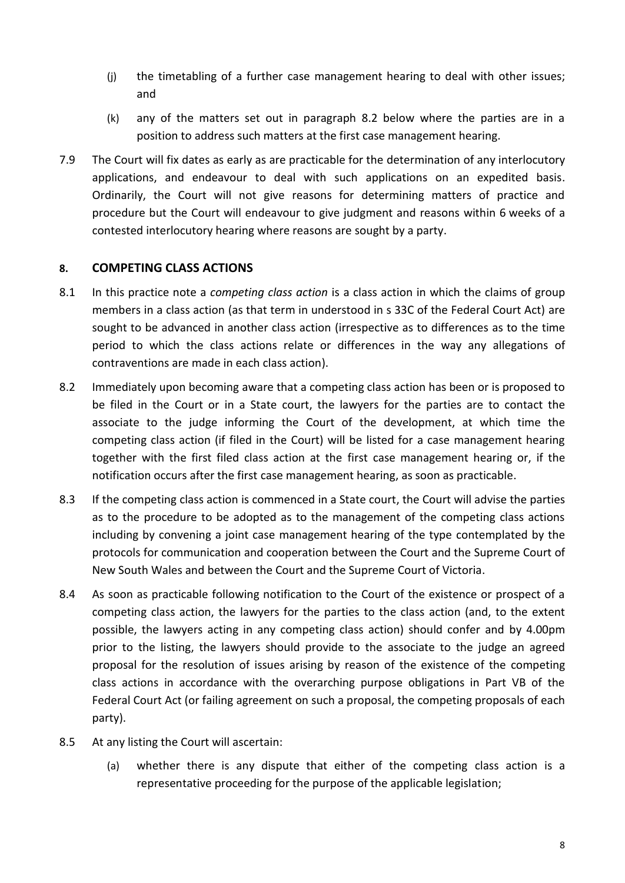- (j) the timetabling of a further case management hearing to deal with other issues; and
- (k) any of the matters set out in paragraph 8.2 below where the parties are in a position to address such matters at the first case management hearing.
- 7.9 The Court will fix dates as early as are practicable for the determination of any interlocutory applications, and endeavour to deal with such applications on an expedited basis. Ordinarily, the Court will not give reasons for determining matters of practice and procedure but the Court will endeavour to give judgment and reasons within 6 weeks of a contested interlocutory hearing where reasons are sought by a party.

# **8. COMPETING CLASS ACTIONS**

- 8.1 In this practice note a *competing class action* is a class action in which the claims of group members in a class action (as that term in understood in s 33C of the Federal Court Act) are sought to be advanced in another class action (irrespective as to differences as to the time period to which the class actions relate or differences in the way any allegations of contraventions are made in each class action).
- 8.2 Immediately upon becoming aware that a competing class action has been or is proposed to be filed in the Court or in a State court, the lawyers for the parties are to contact the associate to the judge informing the Court of the development, at which time the competing class action (if filed in the Court) will be listed for a case management hearing together with the first filed class action at the first case management hearing or, if the notification occurs after the first case management hearing, as soon as practicable.
- 8.3 If the competing class action is commenced in a State court, the Court will advise the parties as to the procedure to be adopted as to the management of the competing class actions including by convening a joint case management hearing of the type contemplated by the protocols for communication and cooperation between the Court and the Supreme Court of New South Wales and between the Court and the Supreme Court of Victoria.
- 8.4 As soon as practicable following notification to the Court of the existence or prospect of a competing class action, the lawyers for the parties to the class action (and, to the extent possible, the lawyers acting in any competing class action) should confer and by 4.00pm prior to the listing, the lawyers should provide to the associate to the judge an agreed proposal for the resolution of issues arising by reason of the existence of the competing class actions in accordance with the overarching purpose obligations in Part VB of the Federal Court Act (or failing agreement on such a proposal, the competing proposals of each party).
- 8.5 At any listing the Court will ascertain:
	- (a) whether there is any dispute that either of the competing class action is a representative proceeding for the purpose of the applicable legislation;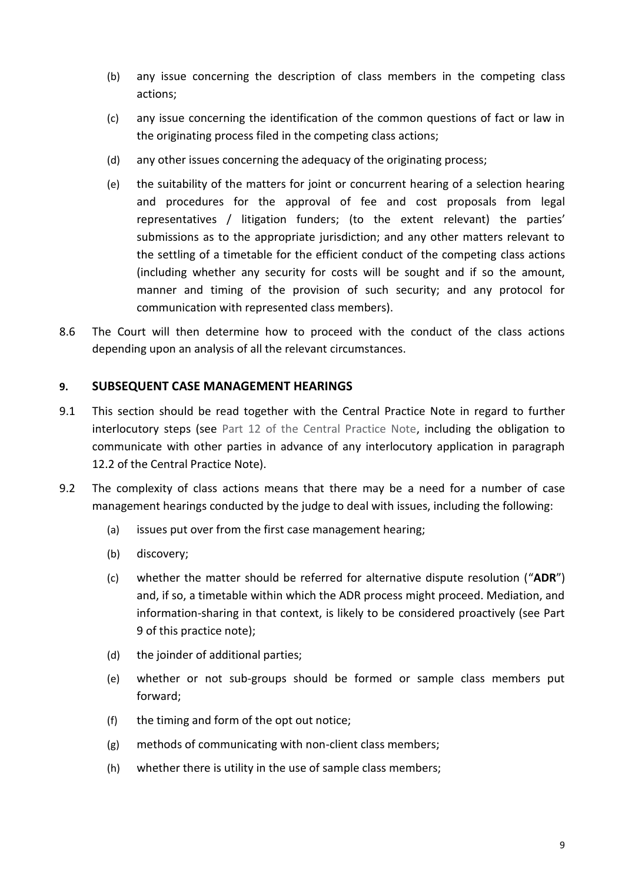- (b) any issue concerning the description of class members in the competing class actions;
- (c) any issue concerning the identification of the common questions of fact or law in the originating process filed in the competing class actions;
- (d) any other issues concerning the adequacy of the originating process;
- (e) the suitability of the matters for joint or concurrent hearing of a selection hearing and procedures for the approval of fee and cost proposals from legal representatives / litigation funders; (to the extent relevant) the parties' submissions as to the appropriate jurisdiction; and any other matters relevant to the settling of a timetable for the efficient conduct of the competing class actions (including whether any security for costs will be sought and if so the amount, manner and timing of the provision of such security; and any protocol for communication with represented class members).
- 8.6 The Court will then determine how to proceed with the conduct of the class actions depending upon an analysis of all the relevant circumstances.

# **9. SUBSEQUENT CASE MANAGEMENT HEARINGS**

- 9.1 This section should be read together with the Central Practice Note in regard to further interlocutory steps (see [Part 12 of the Central Practice Note,](http://www.fedcourt.gov.au/law-and-practice/practice-documents/practice-notes/cpn-1#Part12) including the obligation to communicate with other parties in advance of any interlocutory application in paragraph 12.2 of the Central Practice Note).
- 9.2 The complexity of class actions means that there may be a need for a number of case management hearings conducted by the judge to deal with issues, including the following:
	- (a) issues put over from the first case management hearing;
	- (b) discovery;
	- (c) whether the matter should be referred for alternative dispute resolution ("**ADR**") and, if so, a timetable within which the ADR process might proceed. Mediation, and information-sharing in that context, is likely to be considered proactively (see Part 9 of this practice note);
	- (d) the joinder of additional parties;
	- (e) whether or not sub-groups should be formed or sample class members put forward;
	- (f) the timing and form of the opt out notice;
	- (g) methods of communicating with non-client class members;
	- (h) whether there is utility in the use of sample class members;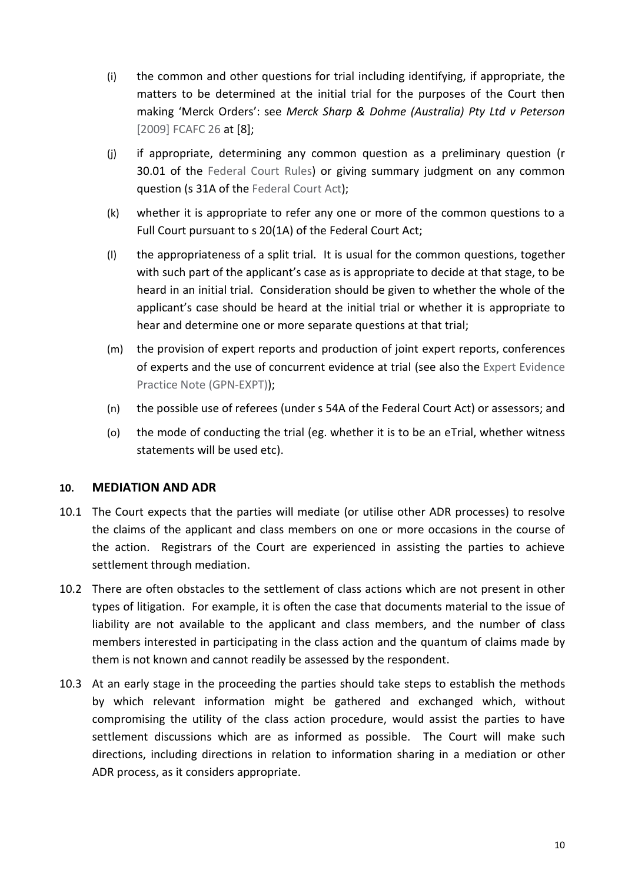- (i) the common and other questions for trial including identifying, if appropriate, the matters to be determined at the initial trial for the purposes of the Court then making 'Merck Orders': see *Merck Sharp & Dohme (Australia) Pty Ltd v Peterson* [\[2009\] FCAFC 26 a](https://www.judgments.fedcourt.gov.au/judgments/Judgments/fca/full/2009/2009fcafc0026)t [\[8\];](https://jade.io/article/90823/section/140572)
- (j) if appropriate, determining any common question as a preliminary question (r 30.01 of the [Federal Court Rules\)](https://www.legislation.gov.au/Series/F2011L01551) or giving summary judgment on any common question (s 31A of the [Federal Court Act\)](https://www.legislation.gov.au/Series/C2004A01586);
- (k) whether it is appropriate to refer any one or more of the common questions to a Full Court pursuant to s 20(1A) of the Federal Court Act;
- (l) the appropriateness of a split trial. It is usual for the common questions, together with such part of the applicant's case as is appropriate to decide at that stage, to be heard in an initial trial. Consideration should be given to whether the whole of the applicant's case should be heard at the initial trial or whether it is appropriate to hear and determine one or more separate questions at that trial;
- (m) the provision of expert reports and production of joint expert reports, conferences of experts and the use of concurrent evidence at trial (see also the [Expert Evidence](http://www.fedcourt.gov.au/law-and-practice/practice-documents/practice-notes/gpn-expt)  [Practice Note](http://www.fedcourt.gov.au/law-and-practice/practice-documents/practice-notes/gpn-expt) (GPN-EXPT));
- (n) the possible use of referees (under s 54A of the Federal Court Act) or assessors; and
- (o) the mode of conducting the trial (eg. whether it is to be an eTrial, whether witness statements will be used etc).

#### **10. MEDIATION AND ADR**

- 10.1 The Court expects that the parties will mediate (or utilise other ADR processes) to resolve the claims of the applicant and class members on one or more occasions in the course of the action. Registrars of the Court are experienced in assisting the parties to achieve settlement through mediation.
- 10.2 There are often obstacles to the settlement of class actions which are not present in other types of litigation. For example, it is often the case that documents material to the issue of liability are not available to the applicant and class members, and the number of class members interested in participating in the class action and the quantum of claims made by them is not known and cannot readily be assessed by the respondent.
- 10.3 At an early stage in the proceeding the parties should take steps to establish the methods by which relevant information might be gathered and exchanged which, without compromising the utility of the class action procedure, would assist the parties to have settlement discussions which are as informed as possible. The Court will make such directions, including directions in relation to information sharing in a mediation or other ADR process, as it considers appropriate.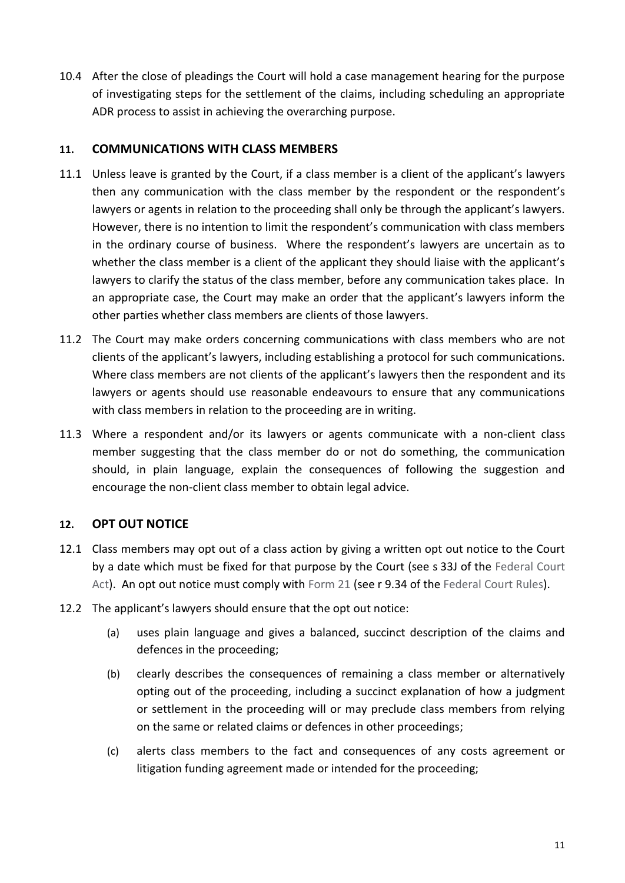10.4 After the close of pleadings the Court will hold a case management hearing for the purpose of investigating steps for the settlement of the claims, including scheduling an appropriate ADR process to assist in achieving the overarching purpose.

# **11. COMMUNICATIONS WITH CLASS MEMBERS**

- 11.1 Unless leave is granted by the Court, if a class member is a client of the applicant's lawyers then any communication with the class member by the respondent or the respondent's lawyers or agents in relation to the proceeding shall only be through the applicant's lawyers. However, there is no intention to limit the respondent's communication with class members in the ordinary course of business. Where the respondent's lawyers are uncertain as to whether the class member is a client of the applicant they should liaise with the applicant's lawyers to clarify the status of the class member, before any communication takes place. In an appropriate case, the Court may make an order that the applicant's lawyers inform the other parties whether class members are clients of those lawyers.
- 11.2 The Court may make orders concerning communications with class members who are not clients of the applicant's lawyers, including establishing a protocol for such communications. Where class members are not clients of the applicant's lawyers then the respondent and its lawyers or agents should use reasonable endeavours to ensure that any communications with class members in relation to the proceeding are in writing.
- 11.3 Where a respondent and/or its lawyers or agents communicate with a non-client class member suggesting that the class member do or not do something, the communication should, in plain language, explain the consequences of following the suggestion and encourage the non-client class member to obtain legal advice.

# **12. OPT OUT NOTICE**

- 12.1 Class members may opt out of a class action by giving a written opt out notice to the Court by a date which must be fixed for that purpose by the Court (see s 33J of the [Federal Court](https://www.legislation.gov.au/Series/C2004A01586)  [Act\)](https://www.legislation.gov.au/Series/C2004A01586). An opt out notice must comply with [Form 21](http://www.fedcourt.gov.au/forms-and-fees/forms/federal-court-rules#form21) (see r 9.34 of th[e Federal Court Rules\)](https://www.legislation.gov.au/Series/F2011L01551).
- 12.2 The applicant's lawyers should ensure that the opt out notice:
	- (a) uses plain language and gives a balanced, succinct description of the claims and defences in the proceeding;
	- (b) clearly describes the consequences of remaining a class member or alternatively opting out of the proceeding, including a succinct explanation of how a judgment or settlement in the proceeding will or may preclude class members from relying on the same or related claims or defences in other proceedings;
	- (c) alerts class members to the fact and consequences of any costs agreement or litigation funding agreement made or intended for the proceeding;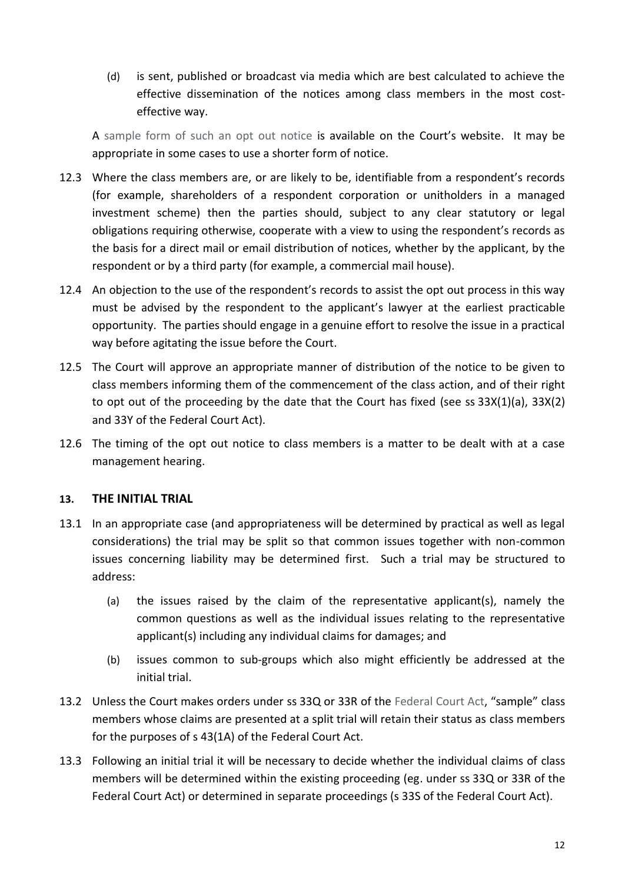(d) is sent, published or broadcast via media which are best calculated to achieve the effective dissemination of the notices among class members in the most costeffective way.

A [sample form of such an opt out](http://www.fedcourt.gov.au/law-and-practice/practice-documents/practice-notes/gpn-ca/sample-opt-out-notice) notice is available on the Court's website. It may be appropriate in some cases to use a shorter form of notice.

- 12.3 Where the class members are, or are likely to be, identifiable from a respondent's records (for example, shareholders of a respondent corporation or unitholders in a managed investment scheme) then the parties should, subject to any clear statutory or legal obligations requiring otherwise, cooperate with a view to using the respondent's records as the basis for a direct mail or email distribution of notices, whether by the applicant, by the respondent or by a third party (for example, a commercial mail house).
- 12.4 An objection to the use of the respondent's records to assist the opt out process in this way must be advised by the respondent to the applicant's lawyer at the earliest practicable opportunity. The parties should engage in a genuine effort to resolve the issue in a practical way before agitating the issue before the Court.
- 12.5 The Court will approve an appropriate manner of distribution of the notice to be given to class members informing them of the commencement of the class action, and of their right to opt out of the proceeding by the date that the Court has fixed (see ss 33X(1)(a), 33X(2) and 33Y of the Federal Court Act).
- 12.6 The timing of the opt out notice to class members is a matter to be dealt with at a case management hearing.

# **13. THE INITIAL TRIAL**

- 13.1 In an appropriate case (and appropriateness will be determined by practical as well as legal considerations) the trial may be split so that common issues together with non-common issues concerning liability may be determined first. Such a trial may be structured to address:
	- (a) the issues raised by the claim of the representative applicant(s), namely the common questions as well as the individual issues relating to the representative applicant(s) including any individual claims for damages; and
	- (b) issues common to sub-groups which also might efficiently be addressed at the initial trial.
- 13.2 Unless the Court makes orders under ss 33Q or 33R of the [Federal Court Act,](https://www.legislation.gov.au/Series/C2004A01586) "sample" class members whose claims are presented at a split trial will retain their status as class members for the purposes of s 43(1A) of the Federal Court Act.
- 13.3 Following an initial trial it will be necessary to decide whether the individual claims of class members will be determined within the existing proceeding (eg. under ss 33Q or 33R of the Federal Court Act) or determined in separate proceedings (s 33S of the Federal Court Act).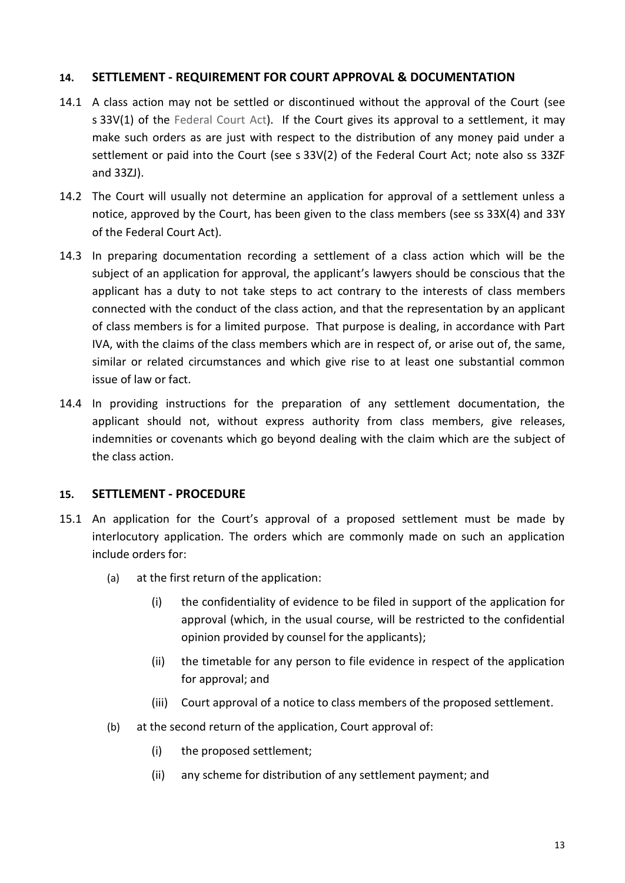#### **14. SETTLEMENT - REQUIREMENT FOR COURT APPROVAL & DOCUMENTATION**

- 14.1 A class action may not be settled or discontinued without the approval of the Court (see s 33V(1) of the [Federal Court Act\)](https://www.legislation.gov.au/Series/C2004A01586). If the Court gives its approval to a settlement, it may make such orders as are just with respect to the distribution of any money paid under a settlement or paid into the Court (see s 33V(2) of the Federal Court Act; note also ss 33ZF and 33ZJ).
- 14.2 The Court will usually not determine an application for approval of a settlement unless a notice, approved by the Court, has been given to the class members (see ss 33X(4) and 33Y of the Federal Court Act).
- 14.3 In preparing documentation recording a settlement of a class action which will be the subject of an application for approval, the applicant's lawyers should be conscious that the applicant has a duty to not take steps to act contrary to the interests of class members connected with the conduct of the class action, and that the representation by an applicant of class members is for a limited purpose. That purpose is dealing, in accordance with Part IVA, with the claims of the class members which are in respect of, or arise out of, the same, similar or related circumstances and which give rise to at least one substantial common issue of law or fact.
- 14.4 In providing instructions for the preparation of any settlement documentation, the applicant should not, without express authority from class members, give releases, indemnities or covenants which go beyond dealing with the claim which are the subject of the class action.

#### **15. SETTLEMENT - PROCEDURE**

- 15.1 An application for the Court's approval of a proposed settlement must be made by interlocutory application. The orders which are commonly made on such an application include orders for:
	- (a) at the first return of the application:
		- (i) the confidentiality of evidence to be filed in support of the application for approval (which, in the usual course, will be restricted to the confidential opinion provided by counsel for the applicants);
		- (ii) the timetable for any person to file evidence in respect of the application for approval; and
		- (iii) Court approval of a notice to class members of the proposed settlement.
	- (b) at the second return of the application, Court approval of:
		- (i) the proposed settlement;
		- (ii) any scheme for distribution of any settlement payment; and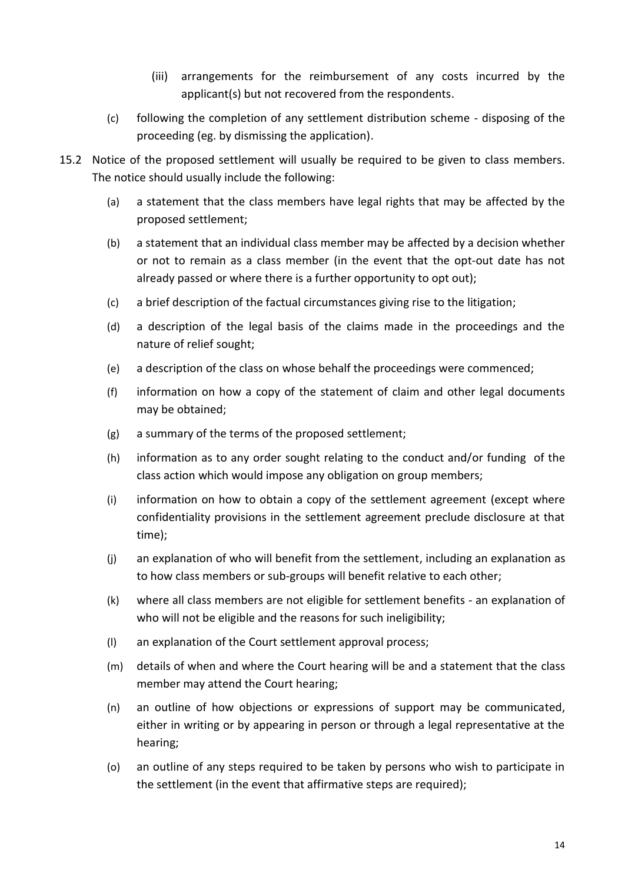- (iii) arrangements for the reimbursement of any costs incurred by the applicant(s) but not recovered from the respondents.
- (c) following the completion of any settlement distribution scheme disposing of the proceeding (eg. by dismissing the application).
- 15.2 Notice of the proposed settlement will usually be required to be given to class members. The notice should usually include the following:
	- (a) a statement that the class members have legal rights that may be affected by the proposed settlement;
	- (b) a statement that an individual class member may be affected by a decision whether or not to remain as a class member (in the event that the opt-out date has not already passed or where there is a further opportunity to opt out);
	- (c) a brief description of the factual circumstances giving rise to the litigation;
	- (d) a description of the legal basis of the claims made in the proceedings and the nature of relief sought;
	- (e) a description of the class on whose behalf the proceedings were commenced;
	- (f) information on how a copy of the statement of claim and other legal documents may be obtained;
	- (g) a summary of the terms of the proposed settlement;
	- (h) information as to any order sought relating to the conduct and/or funding of the class action which would impose any obligation on group members;
	- (i) information on how to obtain a copy of the settlement agreement (except where confidentiality provisions in the settlement agreement preclude disclosure at that time);
	- (j) an explanation of who will benefit from the settlement, including an explanation as to how class members or sub-groups will benefit relative to each other;
	- (k) where all class members are not eligible for settlement benefits an explanation of who will not be eligible and the reasons for such ineligibility;
	- (l) an explanation of the Court settlement approval process;
	- (m) details of when and where the Court hearing will be and a statement that the class member may attend the Court hearing;
	- (n) an outline of how objections or expressions of support may be communicated, either in writing or by appearing in person or through a legal representative at the hearing;
	- (o) an outline of any steps required to be taken by persons who wish to participate in the settlement (in the event that affirmative steps are required);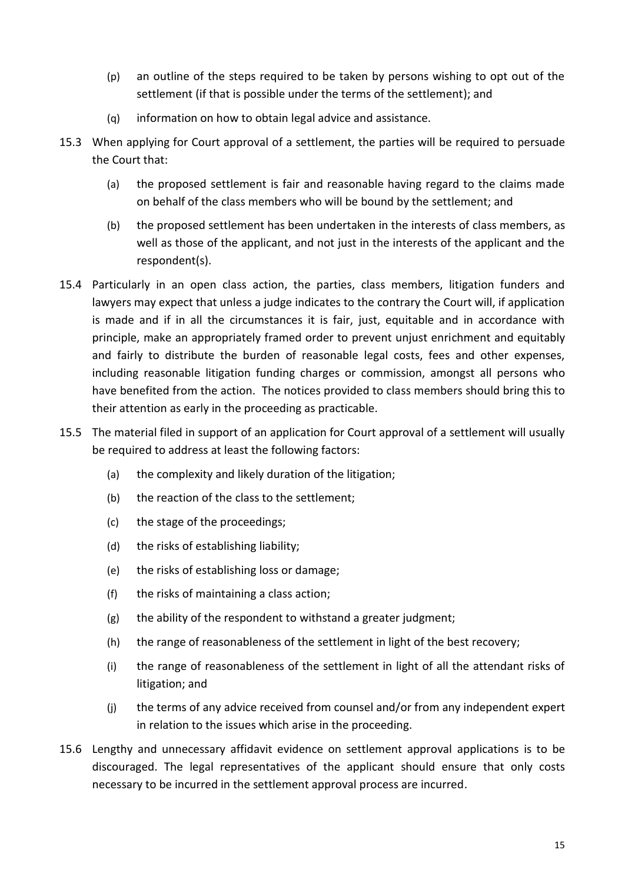- (p) an outline of the steps required to be taken by persons wishing to opt out of the settlement (if that is possible under the terms of the settlement); and
- (q) information on how to obtain legal advice and assistance.
- 15.3 When applying for Court approval of a settlement, the parties will be required to persuade the Court that:
	- (a) the proposed settlement is fair and reasonable having regard to the claims made on behalf of the class members who will be bound by the settlement; and
	- (b) the proposed settlement has been undertaken in the interests of class members, as well as those of the applicant, and not just in the interests of the applicant and the respondent(s).
- 15.4 Particularly in an open class action, the parties, class members, litigation funders and lawyers may expect that unless a judge indicates to the contrary the Court will, if application is made and if in all the circumstances it is fair, just, equitable and in accordance with principle, make an appropriately framed order to prevent unjust enrichment and equitably and fairly to distribute the burden of reasonable legal costs, fees and other expenses, including reasonable litigation funding charges or commission, amongst all persons who have benefited from the action. The notices provided to class members should bring this to their attention as early in the proceeding as practicable.
- 15.5 The material filed in support of an application for Court approval of a settlement will usually be required to address at least the following factors:
	- (a) the complexity and likely duration of the litigation;
	- (b) the reaction of the class to the settlement;
	- (c) the stage of the proceedings;
	- (d) the risks of establishing liability;
	- (e) the risks of establishing loss or damage;
	- (f) the risks of maintaining a class action;
	- (g) the ability of the respondent to withstand a greater judgment;
	- (h) the range of reasonableness of the settlement in light of the best recovery;
	- (i) the range of reasonableness of the settlement in light of all the attendant risks of litigation; and
	- (j) the terms of any advice received from counsel and/or from any independent expert in relation to the issues which arise in the proceeding.
- 15.6 Lengthy and unnecessary affidavit evidence on settlement approval applications is to be discouraged. The legal representatives of the applicant should ensure that only costs necessary to be incurred in the settlement approval process are incurred.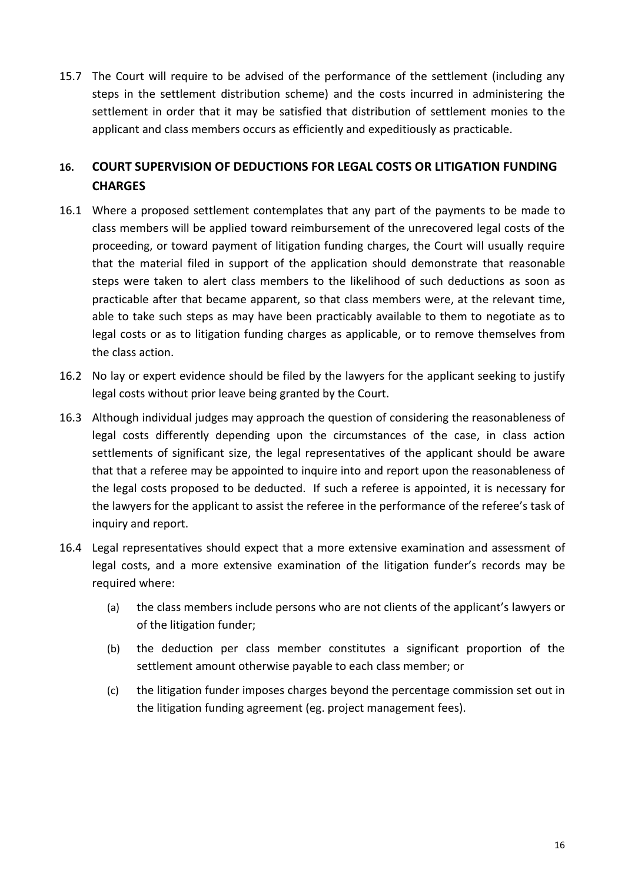15.7 The Court will require to be advised of the performance of the settlement (including any steps in the settlement distribution scheme) and the costs incurred in administering the settlement in order that it may be satisfied that distribution of settlement monies to the applicant and class members occurs as efficiently and expeditiously as practicable.

# **16. COURT SUPERVISION OF DEDUCTIONS FOR LEGAL COSTS OR LITIGATION FUNDING CHARGES**

- 16.1 Where a proposed settlement contemplates that any part of the payments to be made to class members will be applied toward reimbursement of the unrecovered legal costs of the proceeding, or toward payment of litigation funding charges, the Court will usually require that the material filed in support of the application should demonstrate that reasonable steps were taken to alert class members to the likelihood of such deductions as soon as practicable after that became apparent, so that class members were, at the relevant time, able to take such steps as may have been practicably available to them to negotiate as to legal costs or as to litigation funding charges as applicable, or to remove themselves from the class action.
- 16.2 No lay or expert evidence should be filed by the lawyers for the applicant seeking to justify legal costs without prior leave being granted by the Court.
- 16.3 Although individual judges may approach the question of considering the reasonableness of legal costs differently depending upon the circumstances of the case, in class action settlements of significant size, the legal representatives of the applicant should be aware that that a referee may be appointed to inquire into and report upon the reasonableness of the legal costs proposed to be deducted. If such a referee is appointed, it is necessary for the lawyers for the applicant to assist the referee in the performance of the referee's task of inquiry and report.
- 16.4 Legal representatives should expect that a more extensive examination and assessment of legal costs, and a more extensive examination of the litigation funder's records may be required where:
	- (a) the class members include persons who are not clients of the applicant's lawyers or of the litigation funder;
	- (b) the deduction per class member constitutes a significant proportion of the settlement amount otherwise payable to each class member; or
	- (c) the litigation funder imposes charges beyond the percentage commission set out in the litigation funding agreement (eg. project management fees).